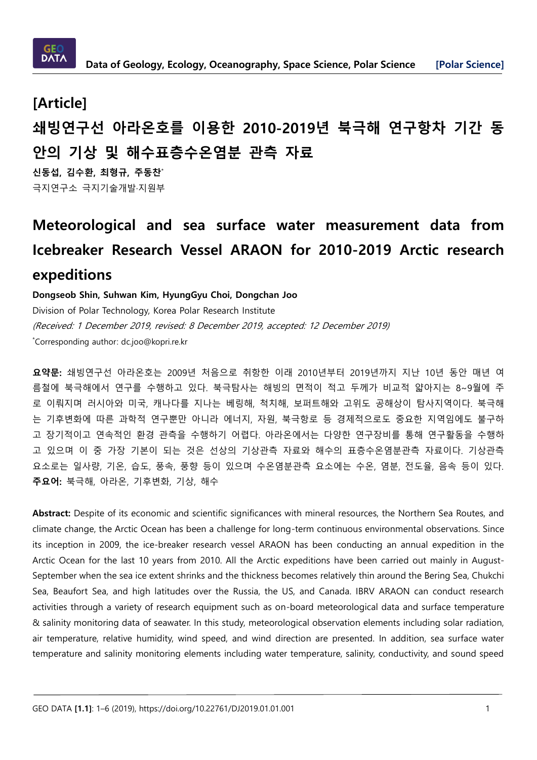

# **[Article] 쇄빙연구선 아라온호를 이용한 2010-2019년 북극해 연구항차 기간 동 안의 기상 및 해수표층수온염분 관측 자료**

**신동섭, 김수환, 최형규, 주동찬**\* 극지연구소 극지기술개발·지원부

# **Meteorological and sea surface water measurement data from Icebreaker Research Vessel ARAON for 2010-2019 Arctic research expeditions**

### **Dongseob Shin, Suhwan Kim, HyungGyu Choi, Dongchan Joo**

Division of Polar Technology, Korea Polar Research Institute (Received: 1 December 2019, revised: 8 December 2019, accepted: 12 December 2019) \*Corresponding author: dc.joo@kopri.re.kr

**요약문:** 쇄빙연구선 아라온호는 2009년 처음으로 취항한 이래 2010년부터 2019년까지 지난 10년 동안 매년 여 름철에 북극해에서 연구를 수행하고 있다. 북극탐사는 해빙의 면적이 적고 두께가 비교적 얇아지는 8~9월에 주 로 이뤄지며 러시아와 미국, 캐나다를 지나는 베링해, 척치해, 보퍼트해와 고위도 공해상이 탐사지역이다. 북극해 는 기후변화에 따른 과학적 연구뿐만 아니라 에너지, 자원, 북극항로 등 경제적으로도 중요한 지역임에도 불구하 고 장기적이고 연속적인 환경 관측을 수행하기 어렵다. 아라온에서는 다양한 연구장비를 통해 연구활동을 수행하 고 있으며 이 중 가장 기본이 되는 것은 선상의 기상관측 자료와 해수의 표층수온염분관측 자료이다. 기상관측 요소로는 일사량, 기온, 습도, 풍속, 풍향 등이 있으며 수온염분관측 요소에는 수온, 염분, 전도율, 음속 등이 있다. **주요어:** 북극해, 아라온, 기후변화, 기상, 해수

**Abstract:** Despite of its economic and scientific significances with mineral resources, the Northern Sea Routes, and climate change, the Arctic Ocean has been a challenge for long-term continuous environmental observations. Since its inception in 2009, the ice-breaker research vessel ARAON has been conducting an annual expedition in the Arctic Ocean for the last 10 years from 2010. All the Arctic expeditions have been carried out mainly in August-September when the sea ice extent shrinks and the thickness becomes relatively thin around the Bering Sea, Chukchi Sea, Beaufort Sea, and high latitudes over the Russia, the US, and Canada. IBRV ARAON can conduct research activities through a variety of research equipment such as on-board meteorological data and surface temperature & salinity monitoring data of seawater. In this study, meteorological observation elements including solar radiation, air temperature, relative humidity, wind speed, and wind direction are presented. In addition, sea surface water temperature and salinity monitoring elements including water temperature, salinity, conductivity, and sound speed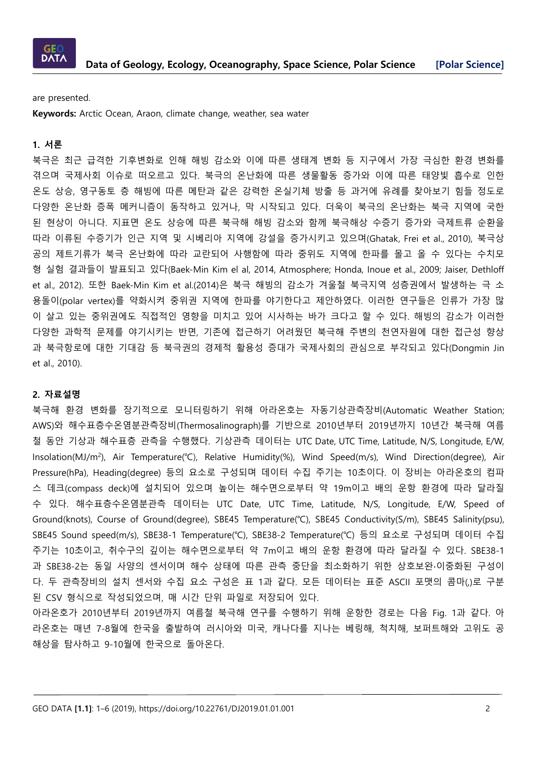

are presented.

**Keywords:** Arctic Ocean, Araon, climate change, weather, sea water

### **1. 서론**

북극은 최근 급격한 기후변화로 인해 해빙 감소와 이에 따른 생태계 변화 등 지구에서 가장 극심한 환경 변화를 겪으며 국제사회 이슈로 떠오르고 있다. 북극의 온난화에 따른 생물활동 증가와 이에 따른 태양빛 흡수로 인한 온도 상승, 영구동토 층 해빙에 따른 메탄과 같은 강력한 온실기체 방출 등 과거에 유례를 찾아보기 힘들 정도로 다양한 온난화 증폭 메커니즘이 동작하고 있거나, 막 시작되고 있다. 더욱이 북극의 온난화는 북극 지역에 국한 된 현상이 아니다. 지표면 온도 상승에 따른 북극해 해빙 감소와 함께 북극해상 수증기 증가와 극제트류 순환을 따라 이류된 수증기가 인근 지역 및 시베리아 지역에 강설을 증가시키고 있으며(Ghatak, Frei et al., 2010), 북극상 공의 제트기류가 북극 온난화에 따라 교란되어 사행함에 따라 중위도 지역에 한파를 몰고 올 수 있다는 수치모 형 실험 결과들이 발표되고 있다(Baek-Min Kim el al, 2014, Atmosphere; Honda, Inoue et al., 2009; Jaiser, Dethloff et al., 2012). 또한 Baek-Min Kim et al.(2014)은 북극 해빙의 감소가 겨울철 북극지역 성층권에서 발생하는 극 소 용돌이(polar vertex)를 약화시켜 중위권 지역에 한파를 야기한다고 제안하였다. 이러한 연구들은 인류가 가장 많 이 살고 있는 중위권에도 직접적인 영향을 미치고 있어 시사하는 바가 크다고 할 수 있다. 해빙의 감소가 이러한 다양한 과학적 문제를 야기시키는 반면, 기존에 접근하기 어려웠던 북극해 주변의 천연자원에 대한 접근성 향상 과 북극항로에 대한 기대감 등 북극권의 경제적 활용성 증대가 국제사회의 관심으로 부각되고 있다(Dongmin Jin et al., 2010).

#### **2. 자료설명**

북극해 환경 변화를 장기적으로 모니터링하기 위해 아라온호는 자동기상관측장비(Automatic Weather Station; AWS)와 해수표층수온염분관측장비(Thermosalinograph)를 기반으로 2010년부터 2019년까지 10년간 북극해 여름 철 동안 기상과 해수표층 관측을 수행했다. 기상관측 데이터는 UTC Date, UTC Time, Latitude, N/S, Longitude, E/W, Insolation(MJ/m<sup>2</sup> ), Air Temperature(℃), Relative Humidity(%), Wind Speed(m/s), Wind Direction(degree), Air Pressure(hPa), Heading(degree) 등의 요소로 구성되며 데이터 수집 주기는 10초이다. 이 장비는 아라온호의 컴파 스 데크(compass deck)에 설치되어 있으며 높이는 해수면으로부터 약 19m이고 배의 운항 환경에 따라 달라질 수 있다. 해수표층수온염분관측 데이터는 UTC Date, UTC Time, Latitude, N/S, Longitude, E/W, Speed of Ground(knots), Course of Ground(degree), SBE45 Temperature(℃), SBE45 Conductivity(S/m), SBE45 Salinity(psu), SBE45 Sound speed(m/s), SBE38-1 Temperature(℃), SBE38-2 Temperature(℃) 등의 요소로 구성되며 데이터 수집 주기는 10초이고, 취수구의 깊이는 해수면으로부터 약 7m이고 배의 운항 환경에 따라 달라질 수 있다. SBE38-1 과 SBE38-2는 동일 사양의 센서이며 해수 상태에 따른 관측 중단을 최소화하기 위한 상호보완∙이중화된 구성이 다. 두 관측장비의 설치 센서와 수집 요소 구성은 표 1과 같다. 모든 데이터는 표준 ASCII 포맷의 콤마(,)로 구분 된 CSV 형식으로 작성되었으며, 매 시간 단위 파일로 저장되어 있다.

아라온호가 2010년부터 2019년까지 여름철 북극해 연구를 수행하기 위해 운항한 경로는 다음 Fig. 1과 같다. 아 라온호는 매년 7-8월에 한국을 출발하여 러시아와 미국, 캐나다를 지나는 베링해, 척치해, 보퍼트해와 고위도 공 해상을 탐사하고 9-10월에 한국으로 돌아온다.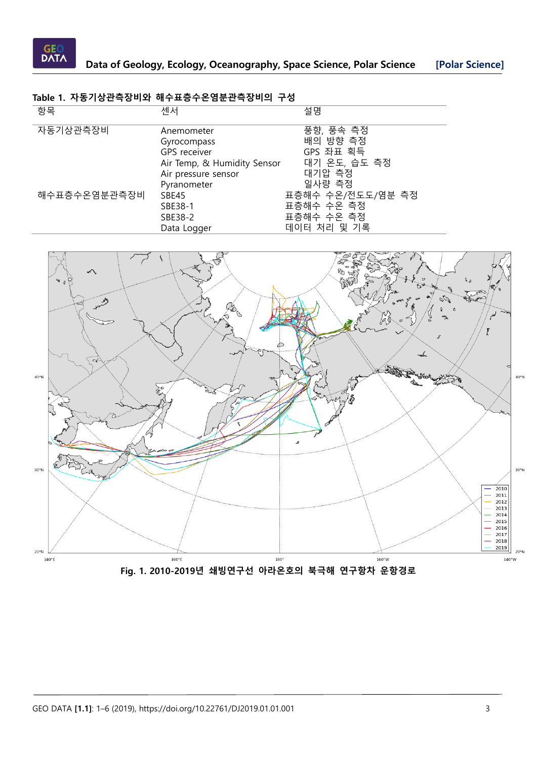

# **Table 1. 자동기상관측장비와 해수표층수온염분관측장비의 구성**

| 항목           | 센서                                                                                                              | 설명                                                                                               |
|--------------|-----------------------------------------------------------------------------------------------------------------|--------------------------------------------------------------------------------------------------|
| 자동기상관측장비     | Anemometer<br>Gyrocompass<br>GPS receiver                                                                       | 풍향, 풍속 측정<br>배의 방향 측정<br>GPS 좌표 획득                                                               |
| 해수표층수온염분관측장비 | Air Temp, & Humidity Sensor<br>Air pressure sensor<br>Pyranometer<br>SBE45<br>SBE38-1<br>SBE38-2<br>Data Logger | 대기 온도, 습도 측정<br>대기압 측정<br>일사량 측정<br>표층해수 수온/전도도/염분 측정<br>표층해수 수온 측정<br>표층해수 수온 측정<br>데이터 처리 및 기록 |

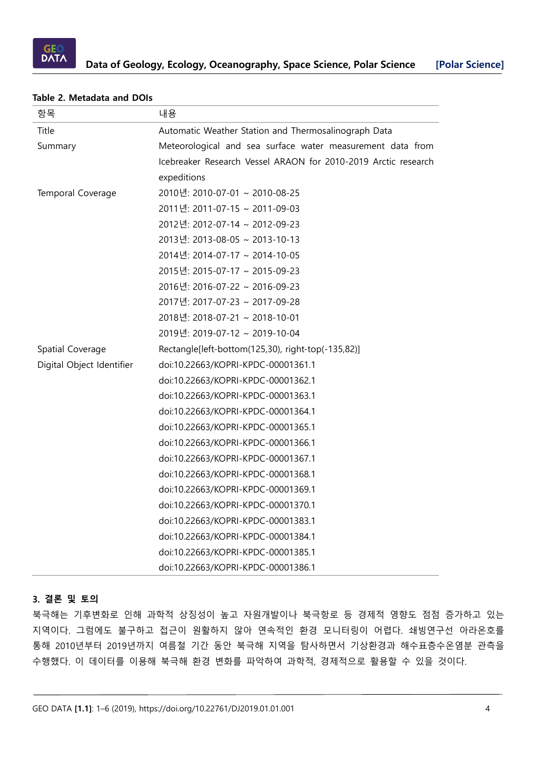

| 항목                        | 내용                                                             |
|---------------------------|----------------------------------------------------------------|
| Title                     | Automatic Weather Station and Thermosalinograph Data           |
| Summary                   | Meteorological and sea surface water measurement data from     |
|                           | Icebreaker Research Vessel ARAON for 2010-2019 Arctic research |
|                           | expeditions                                                    |
| Temporal Coverage         | 2010년: 2010-07-01 ~ 2010-08-25                                 |
|                           | 2011년: 2011-07-15 ~ 2011-09-03                                 |
|                           | 2012년: 2012-07-14 ~ 2012-09-23                                 |
|                           | 2013년: 2013-08-05 ~ 2013-10-13                                 |
|                           | 2014년: 2014-07-17 ~ 2014-10-05                                 |
|                           | 2015년: 2015-07-17 ~ 2015-09-23                                 |
|                           | 2016년: 2016-07-22 ~ 2016-09-23                                 |
|                           | 2017년: 2017-07-23 ~ 2017-09-28                                 |
|                           | 2018년: 2018-07-21 ~ 2018-10-01                                 |
|                           | 2019년: 2019-07-12 ~ 2019-10-04                                 |
| Spatial Coverage          | Rectangle[left-bottom(125,30), right-top(-135,82)]             |
| Digital Object Identifier | doi:10.22663/KOPRI-KPDC-00001361.1                             |
|                           | doi:10.22663/KOPRI-KPDC-00001362.1                             |
|                           | doi:10.22663/KOPRI-KPDC-00001363.1                             |
|                           | doi:10.22663/KOPRI-KPDC-00001364.1                             |
|                           | doi:10.22663/KOPRI-KPDC-00001365.1                             |
|                           | doi:10.22663/KOPRI-KPDC-00001366.1                             |
|                           | doi:10.22663/KOPRI-KPDC-00001367.1                             |
|                           | doi:10.22663/KOPRI-KPDC-00001368.1                             |
|                           | doi:10.22663/KOPRI-KPDC-00001369.1                             |
|                           | doi:10.22663/KOPRI-KPDC-00001370.1                             |
|                           | doi:10.22663/KOPRI-KPDC-00001383.1                             |
|                           | doi:10.22663/KOPRI-KPDC-00001384.1                             |
|                           | doi:10.22663/KOPRI-KPDC-00001385.1                             |
|                           | doi:10.22663/KOPRI-KPDC-00001386.1                             |

#### **Table 2. Metadata and DOIs**

### **3. 결론 및 토의**

북극해는 기후변화로 인해 과학적 상징성이 높고 자원개발이나 북극항로 등 경제적 영향도 점점 증가하고 있는 지역이다. 그럼에도 불구하고 접근이 원활하지 않아 연속적인 환경 모니터링이 어렵다. 쇄빙연구선 아라온호를 통해 2010년부터 2019년까지 여름철 기간 동안 북극해 지역을 탐사하면서 기상환경과 해수표층수온염분 관측을 수행했다. 이 데이터를 이용해 북극해 환경 변화를 파악하여 과학적, 경제적으로 활용할 수 있을 것이다.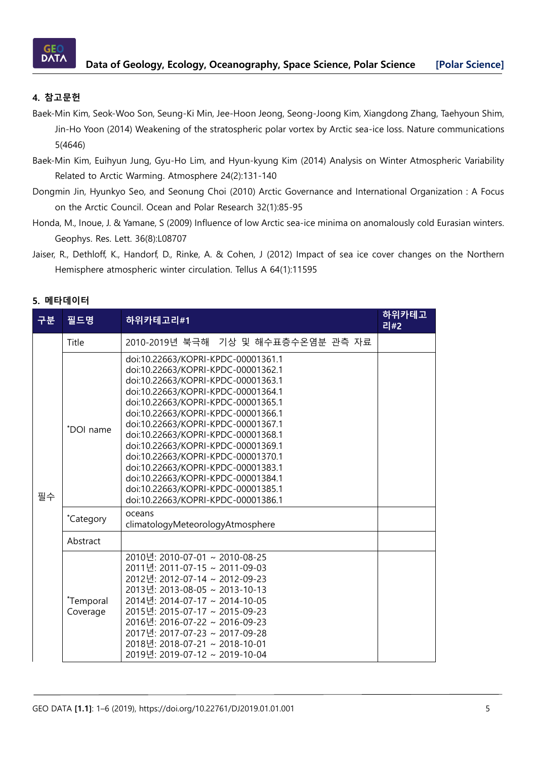

# **4. 참고문헌**

- Baek-Min Kim, Seok-Woo Son, Seung-Ki Min, Jee-Hoon Jeong, Seong-Joong Kim, Xiangdong Zhang, Taehyoun Shim, Jin-Ho Yoon (2014) Weakening of the stratospheric polar vortex by Arctic sea-ice loss. Nature communications 5(4646)
- Baek-Min Kim, Euihyun Jung, Gyu-Ho Lim, and Hyun-kyung Kim (2014) Analysis on Winter Atmospheric Variability Related to Arctic Warming. Atmosphere 24(2):131-140
- Dongmin Jin, Hyunkyo Seo, and Seonung Choi (2010) Arctic Governance and International Organization : A Focus on the Arctic Council. Ocean and Polar Research 32(1):85-95
- Honda, M., Inoue, J. & Yamane, S (2009) Influence of low Arctic sea-ice minima on anomalously cold Eurasian winters. Geophys. Res. Lett. 36(8):L08707
- Jaiser, R., Dethloff, K., Handorf, D., Rinke, A. & Cohen, J (2012) Impact of sea ice cover changes on the Northern Hemisphere atmospheric winter circulation. Tellus A 64(1):11595

## **5. 메타데이터**

| 구분 | 필드명                   | 하위카테고리#1                                                                                                                                                                                                                                                                                                                                                                                                                                                                                                                                         | 하위카테고<br>리#2 |
|----|-----------------------|--------------------------------------------------------------------------------------------------------------------------------------------------------------------------------------------------------------------------------------------------------------------------------------------------------------------------------------------------------------------------------------------------------------------------------------------------------------------------------------------------------------------------------------------------|--------------|
| 필수 | Title                 | 2010-2019년 북극해 기상 및 해수표층수온염분 관측 자료                                                                                                                                                                                                                                                                                                                                                                                                                                                                                                               |              |
|    | *DOI name             | doi:10.22663/KOPRI-KPDC-00001361.1<br>doi:10.22663/KOPRI-KPDC-00001362.1<br>doi:10.22663/KOPRI-KPDC-00001363.1<br>doi:10.22663/KOPRI-KPDC-00001364.1<br>doi:10.22663/KOPRI-KPDC-00001365.1<br>doi:10.22663/KOPRI-KPDC-00001366.1<br>doi:10.22663/KOPRI-KPDC-00001367.1<br>doi:10.22663/KOPRI-KPDC-00001368.1<br>doi:10.22663/KOPRI-KPDC-00001369.1<br>doi:10.22663/KOPRI-KPDC-00001370.1<br>doi:10.22663/KOPRI-KPDC-00001383.1<br>doi:10.22663/KOPRI-KPDC-00001384.1<br>doi:10.22663/KOPRI-KPDC-00001385.1<br>doi:10.22663/KOPRI-KPDC-00001386.1 |              |
|    | *Category             | oceans<br>climatologyMeteorologyAtmosphere                                                                                                                                                                                                                                                                                                                                                                                                                                                                                                       |              |
|    | Abstract              |                                                                                                                                                                                                                                                                                                                                                                                                                                                                                                                                                  |              |
|    | *Temporal<br>Coverage | 2010년: 2010-07-01 ~ 2010-08-25<br>2011년: 2011-07-15 ~ 2011-09-03<br>2012년: 2012-07-14 ~ 2012-09-23<br>2013년: 2013-08-05 ~ 2013-10-13<br>2014년: 2014-07-17 ~ 2014-10-05<br>2015년: 2015-07-17 ~ 2015-09-23<br>2016년: 2016-07-22 ~ 2016-09-23<br>2017년: 2017-07-23 ~ 2017-09-28<br>2018년: 2018-07-21 ~ 2018-10-01<br>2019년: 2019-07-12 ~ 2019-10-04                                                                                                                                                                                                 |              |